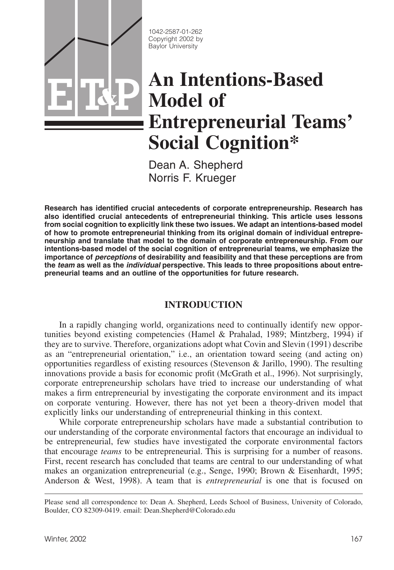

# **ET**&**P An Intentions-Based Model of Entrepreneurial Teams' Social Cognition\***

Dean A. Shepherd Norris F. Krueger

**Research has identified crucial antecedents of corporate entrepreneurship. Research has also identified crucial antecedents of entrepreneurial thinking. This article uses lessons from social cognition to explicitly link these two issues. We adapt an intentions-based model of how to promote entrepreneurial thinking from its original domain of individual entrepreneurship and translate that model to the domain of corporate entrepreneurship. From our intentions-based model of the social cognition of entrepreneurial teams, we emphasize the importance of** *perceptions* **of desirability and feasibility and that these perceptions are from the** *team* **as well as the** *individual* **perspective. This leads to three propositions about entrepreneurial teams and an outline of the opportunities for future research.**

## **INTRODUCTION**

In a rapidly changing world, organizations need to continually identify new opportunities beyond existing competencies (Hamel & Prahalad, 1989; Mintzberg, 1994) if they are to survive. Therefore, organizations adopt what Covin and Slevin (1991) describe as an "entrepreneurial orientation," i.e., an orientation toward seeing (and acting on) opportunities regardless of existing resources (Stevenson  $\&$  Jarillo, 1990). The resulting innovations provide a basis for economic profit (McGrath et al., 1996). Not surprisingly, corporate entrepreneurship scholars have tried to increase our understanding of what makes a firm entrepreneurial by investigating the corporate environment and its impact on corporate venturing. However, there has not yet been a theory-driven model that explicitly links our understanding of entrepreneurial thinking in this context.

While corporate entrepreneurship scholars have made a substantial contribution to our understanding of the corporate environmental factors that encourage an individual to be entrepreneurial, few studies have investigated the corporate environmental factors that encourage *teams* to be entrepreneurial. This is surprising for a number of reasons. First, recent research has concluded that teams are central to our understanding of what makes an organization entrepreneurial (e.g., Senge, 1990; Brown & Eisenhardt, 1995; Anderson & West, 1998). A team that is *entrepreneurial* is one that is focused on

Please send all correspondence to: Dean A. Shepherd, Leeds School of Business, University of Colorado, Boulder, CO 82309-0419. email: Dean.Shepherd@Colorado.edu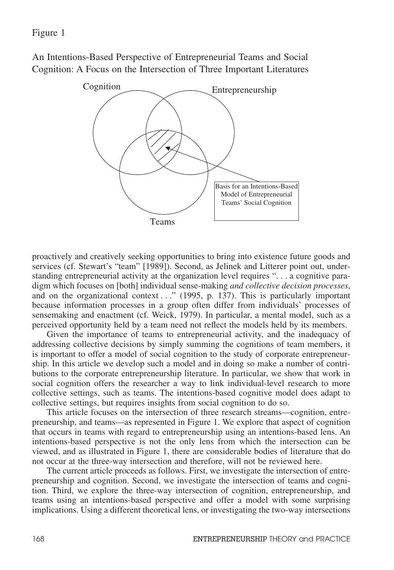An Intentions-Based Perspective of Entrepreneurial Teams and Social Cognition: A Focus on the Intersection of Three Important Literatures



proactively and creatively seeking opportunities to bring into existence future goods and services (cf. Stewart's "team" [1989]). Second, as Jelinek and Litterer point out, understanding entrepreneurial activity at the organization level requires ". . . a cognitive paradigm which focuses on [both] individual sense-making *and collective decision processes*, and on the organizational context . . ." (1995, p. 137). This is particularly important because information processes in a group often differ from individuals' processes of sensemaking and enactment (cf. Weick, 1979). In particular, a mental model, such as a perceived opportunity held by a team need not reflect the models held by its members.

Given the importance of teams to entrepreneurial activity, and the inadequacy of addressing collective decisions by simply summing the cognitions of team members, it is important to offer a model of social cognition to the study of corporate entrepreneurship. In this article we develop such a model and in doing so make a number of contributions to the corporate entrepreneurship literature. In particular, we show that work in social cognition offers the researcher a way to link individual-level research to more collective settings, such as teams. The intentions-based cognitive model does adapt to collective settings, but requires insights from social cognition to do so.

This article focuses on the intersection of three research streams—cognition, entrepreneurship, and teams—as represented in Figure 1. We explore that aspect of cognition that occurs in teams with regard to entrepreneurship using an intentions-based lens. An intentions-based perspective is not the only lens from which the intersection can be viewed, and as illustrated in Figure 1, there are considerable bodies of literature that do not occur at the three-way intersection and therefore, will not be reviewed here.

The current article proceeds as follows. First, we investigate the intersection of entrepreneurship and cognition. Second, we investigate the intersection of teams and cognition. Third, we explore the three-way intersection of cognition, entrepreneurship, and teams using an intentions-based perspective and offer a model with some surprising implications. Using a different theoretical lens, or investigating the two-way intersections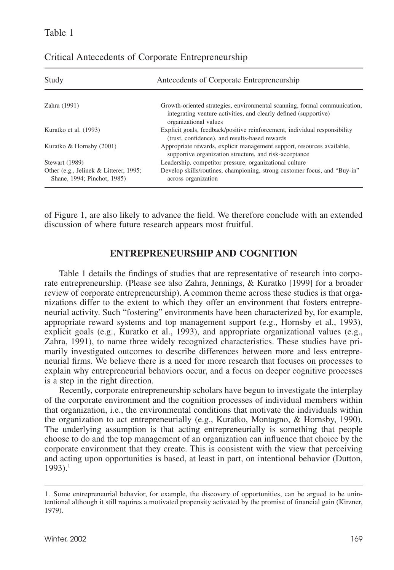#### Table 1

| Study                                                                 | Antecedents of Corporate Entrepreneurship                                                                                                                              |  |
|-----------------------------------------------------------------------|------------------------------------------------------------------------------------------------------------------------------------------------------------------------|--|
|                                                                       |                                                                                                                                                                        |  |
| Zahra (1991)                                                          | Growth-oriented strategies, environmental scanning, formal communication,<br>integrating venture activities, and clearly defined (supportive)<br>organizational values |  |
| Kuratko et al. (1993)                                                 | Explicit goals, feedback/positive reinforcement, individual responsibility<br>(trust, confidence), and results-based rewards                                           |  |
| Kuratko & Hornsby (2001)                                              | Appropriate rewards, explicit management support, resources available,<br>supportive organization structure, and risk-acceptance                                       |  |
| Stewart (1989)                                                        | Leadership, competitor pressure, organizational culture                                                                                                                |  |
| Other (e.g., Jelinek & Litterer, 1995;<br>Shane, 1994; Pinchot, 1985) | Develop skills/routines, championing, strong customer focus, and "Buy-in"<br>across organization                                                                       |  |

## Critical Antecedents of Corporate Entrepreneurship

of Figure 1, are also likely to advance the field. We therefore conclude with an extended discussion of where future research appears most fruitful.

## **ENTREPRENEURSHIP AND COGNITION**

Table 1 details the findings of studies that are representative of research into corporate entrepreneurship. (Please see also Zahra, Jennings, & Kuratko [1999] for a broader review of corporate entrepreneurship). A common theme across these studies is that organizations differ to the extent to which they offer an environment that fosters entrepreneurial activity. Such "fostering" environments have been characterized by, for example, appropriate reward systems and top management support (e.g., Hornsby et al., 1993), explicit goals (e.g., Kuratko et al., 1993), and appropriate organizational values (e.g., Zahra, 1991), to name three widely recognized characteristics. These studies have primarily investigated outcomes to describe differences between more and less entrepreneurial firms. We believe there is a need for more research that focuses on processes to explain why entrepreneurial behaviors occur, and a focus on deeper cognitive processes is a step in the right direction.

Recently, corporate entrepreneurship scholars have begun to investigate the interplay of the corporate environment and the cognition processes of individual members within that organization, i.e., the environmental conditions that motivate the individuals within the organization to act entrepreneurially (e.g., Kuratko, Montagno, & Hornsby, 1990). The underlying assumption is that acting entrepreneurially is something that people choose to do and the top management of an organization can influence that choice by the corporate environment that they create. This is consistent with the view that perceiving and acting upon opportunities is based, at least in part, on intentional behavior (Dutton,  $1993$ ).<sup>1</sup>

<sup>1.</sup> Some entrepreneurial behavior, for example, the discovery of opportunities, can be argued to be unintentional although it still requires a motivated propensity activated by the promise of financial gain (Kirzner, 1979).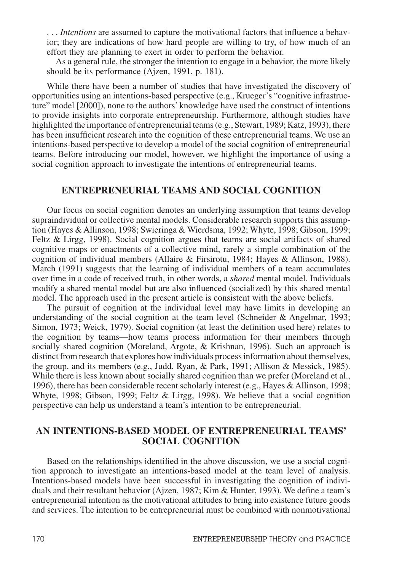... *Intentions* are assumed to capture the motivational factors that influence a behavior; they are indications of how hard people are willing to try, of how much of an effort they are planning to exert in order to perform the behavior.

As a general rule, the stronger the intention to engage in a behavior, the more likely should be its performance (Ajzen, 1991, p. 181).

While there have been a number of studies that have investigated the discovery of opportunities using an intentions-based perspective (e.g., Krueger's "cognitive infrastructure" model [2000]), none to the authors' knowledge have used the construct of intentions to provide insights into corporate entrepreneurship. Furthermore, although studies have highlighted the importance of entrepreneurial teams (e.g., Stewart, 1989; Katz, 1993), there has been insufficient research into the cognition of these entrepreneurial teams. We use an intentions-based perspective to develop a model of the social cognition of entrepreneurial teams. Before introducing our model, however, we highlight the importance of using a social cognition approach to investigate the intentions of entrepreneurial teams.

## **ENTREPRENEURIAL TEAMS AND SOCIAL COGNITION**

Our focus on social cognition denotes an underlying assumption that teams develop supraindividual or collective mental models. Considerable research supports this assumption (Hayes & Allinson, 1998; Swieringa & Wierdsma, 1992; Whyte, 1998; Gibson, 1999; Feltz & Lirgg, 1998). Social cognition argues that teams are social artifacts of shared cognitive maps or enactments of a collective mind, rarely a simple combination of the cognition of individual members (Allaire & Firsirotu, 1984; Hayes & Allinson, 1988). March (1991) suggests that the learning of individual members of a team accumulates over time in a code of received truth, in other words, a *shared* mental model. Individuals modify a shared mental model but are also influenced (socialized) by this shared mental model. The approach used in the present article is consistent with the above beliefs.

The pursuit of cognition at the individual level may have limits in developing an understanding of the social cognition at the team level (Schneider & Angelmar, 1993; Simon, 1973; Weick, 1979). Social cognition (at least the definition used here) relates to the cognition by teams—how teams process information for their members through socially shared cognition (Moreland, Argote, & Krishnan, 1996). Such an approach is distinct from research that explores how individuals process information about themselves, the group, and its members (e.g., Judd, Ryan, & Park, 1991; Allison & Messick, 1985). While there is less known about socially shared cognition than we prefer (Moreland et al., 1996), there has been considerable recent scholarly interest (e.g., Hayes & Allinson, 1998; Whyte, 1998; Gibson, 1999; Feltz & Lirgg, 1998). We believe that a social cognition perspective can help us understand a team's intention to be entrepreneurial.

## **AN INTENTIONS-BASED MODEL OF ENTREPRENEURIAL TEAMS' SOCIAL COGNITION**

Based on the relationships identified in the above discussion, we use a social cognition approach to investigate an intentions-based model at the team level of analysis. Intentions-based models have been successful in investigating the cognition of individuals and their resultant behavior (Ajzen, 1987; Kim & Hunter, 1993). We define a team's entrepreneurial intention as the motivational attitudes to bring into existence future goods and services. The intention to be entrepreneurial must be combined with nonmotivational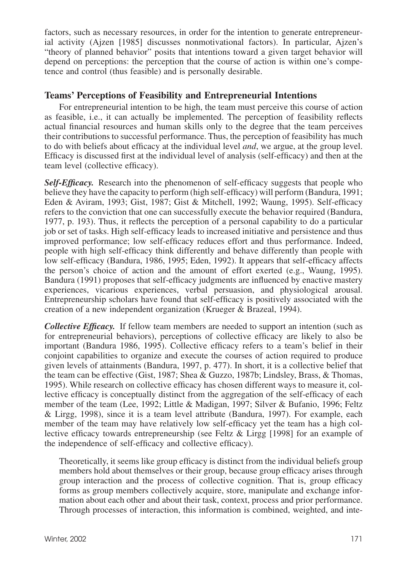factors, such as necessary resources, in order for the intention to generate entrepreneurial activity (Ajzen [1985] discusses nonmotivational factors). In particular, Ajzen's "theory of planned behavior" posits that intentions toward a given target behavior will depend on perceptions: the perception that the course of action is within one's competence and control (thus feasible) and is personally desirable.

## **Teams' Perceptions of Feasibility and Entrepreneurial Intentions**

For entrepreneurial intention to be high, the team must perceive this course of action as feasible, i.e., it can actually be implemented. The perception of feasibility reflects actual financial resources and human skills only to the degree that the team perceives their contributions to successful performance. Thus, the perception of feasibility has much to do with beliefs about efficacy at the individual level *and*, we argue, at the group level. Efficacy is discussed first at the individual level of analysis (self-efficacy) and then at the team level (collective efficacy).

*Self-Efficacy.* Research into the phenomenon of self-efficacy suggests that people who believe they have the capacity to perform (high self-efficacy) will perform (Bandura, 1991; Eden & Aviram, 1993; Gist, 1987; Gist & Mitchell, 1992; Waung, 1995). Self-efficacy refers to the conviction that one can successfully execute the behavior required (Bandura, 1977, p. 193). Thus, it reflects the perception of a personal capability to do a particular job or set of tasks. High self-efficacy leads to increased initiative and persistence and thus improved performance; low self-efficacy reduces effort and thus performance. Indeed, people with high self-efficacy think differently and behave differently than people with low self-efficacy (Bandura, 1986, 1995; Eden, 1992). It appears that self-efficacy affects the person's choice of action and the amount of effort exerted (e.g., Waung, 1995). Bandura (1991) proposes that self-efficacy judgments are influenced by enactive mastery experiences, vicarious experiences, verbal persuasion, and physiological arousal. Entrepreneurship scholars have found that self-efficacy is positively associated with the creation of a new independent organization (Krueger & Brazeal, 1994).

*Collective Efficacy.* If fellow team members are needed to support an intention (such as for entrepreneurial behaviors), perceptions of collective efficacy are likely to also be important (Bandura 1986, 1995). Collective efficacy refers to a team's belief in their conjoint capabilities to organize and execute the courses of action required to produce given levels of attainments (Bandura, 1997, p. 477). In short, it is a collective belief that the team can be effective (Gist, 1987; Shea & Guzzo, 1987b; Lindsley, Brass, & Thomas, 1995). While research on collective efficacy has chosen different ways to measure it, collective efficacy is conceptually distinct from the aggregation of the self-efficacy of each member of the team (Lee, 1992; Little & Madigan, 1997; Silver & Bufanio, 1996; Feltz & Lirgg, 1998), since it is a team level attribute (Bandura, 1997). For example, each member of the team may have relatively low self-efficacy yet the team has a high collective efficacy towards entrepreneurship (see Feltz & Lirgg [1998] for an example of the independence of self-efficacy and collective efficacy).

Theoretically, it seems like group efficacy is distinct from the individual beliefs group members hold about themselves or their group, because group efficacy arises through group interaction and the process of collective cognition. That is, group efficacy forms as group members collectively acquire, store, manipulate and exchange information about each other and about their task, context, process and prior performance. Through processes of interaction, this information is combined, weighted, and inte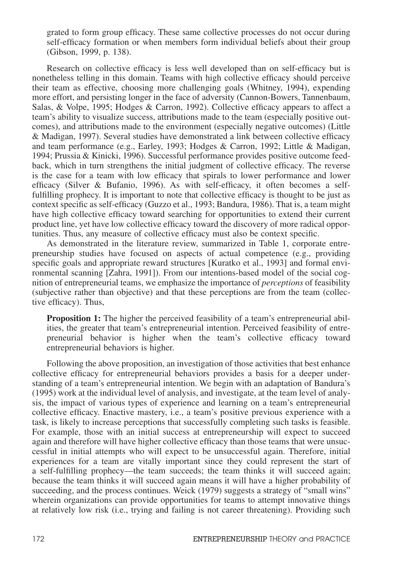grated to form group efficacy. These same collective processes do not occur during self-efficacy formation or when members form individual beliefs about their group (Gibson, 1999, p. 138).

Research on collective efficacy is less well developed than on self-efficacy but is nonetheless telling in this domain. Teams with high collective efficacy should perceive their team as effective, choosing more challenging goals (Whitney, 1994), expending more effort, and persisting longer in the face of adversity (Cannon-Bowers, Tannenbaum, Salas, & Volpe, 1995; Hodges & Carron, 1992). Collective efficacy appears to affect a team's ability to visualize success, attributions made to the team (especially positive outcomes), and attributions made to the environment (especially negative outcomes) (Little & Madigan, 1997). Several studies have demonstrated a link between collective efficacy and team performance (e.g., Earley, 1993; Hodges & Carron, 1992; Little & Madigan, 1994; Prussia & Kinicki, 1996). Successful performance provides positive outcome feedback, which in turn strengthens the initial judgment of collective efficacy. The reverse is the case for a team with low efficacy that spirals to lower performance and lower efficacy (Silver & Bufanio, 1996). As with self-efficacy, it often becomes a selffulfilling prophecy. It is important to note that collective efficacy is thought to be just as context specific as self-efficacy (Guzzo et al., 1993; Bandura, 1986). That is, a team might have high collective efficacy toward searching for opportunities to extend their current product line, yet have low collective efficacy toward the discovery of more radical opportunities. Thus, any measure of collective efficacy must also be context specific.

As demonstrated in the literature review, summarized in Table 1, corporate entrepreneurship studies have focused on aspects of actual competence (e.g., providing specific goals and appropriate reward structures [Kuratko et al., 1993] and formal environmental scanning [Zahra, 1991]). From our intentions-based model of the social cognition of entrepreneurial teams, we emphasize the importance of *perceptions* of feasibility (subjective rather than objective) and that these perceptions are from the team (collective efficacy). Thus,

**Proposition 1:** The higher the perceived feasibility of a team's entrepreneurial abilities, the greater that team's entrepreneurial intention. Perceived feasibility of entrepreneurial behavior is higher when the team's collective efficacy toward entrepreneurial behaviors is higher.

Following the above proposition, an investigation of those activities that best enhance collective efficacy for entrepreneurial behaviors provides a basis for a deeper understanding of a team's entrepreneurial intention. We begin with an adaptation of Bandura's (1995) work at the individual level of analysis, and investigate, at the team level of analysis, the impact of various types of experience and learning on a team's entrepreneurial collective efficacy. Enactive mastery, i.e., a team's positive previous experience with a task, is likely to increase perceptions that successfully completing such tasks is feasible. For example, those with an initial success at entrepreneurship will expect to succeed again and therefore will have higher collective efficacy than those teams that were unsuccessful in initial attempts who will expect to be unsuccessful again. Therefore, initial experiences for a team are vitally important since they could represent the start of a self-fulfilling prophecy—the team succeeds; the team thinks it will succeed again; because the team thinks it will succeed again means it will have a higher probability of succeeding, and the process continues. Weick (1979) suggests a strategy of "small wins" wherein organizations can provide opportunities for teams to attempt innovative things at relatively low risk (i.e., trying and failing is not career threatening). Providing such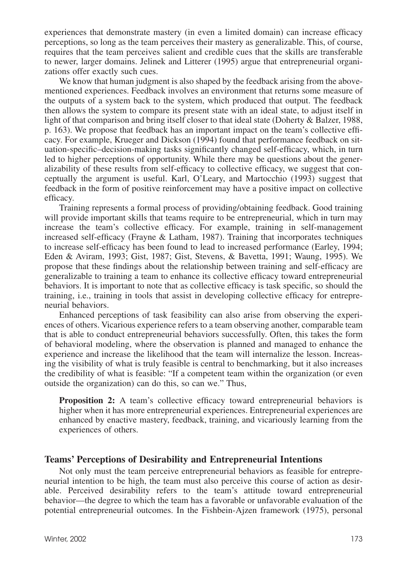experiences that demonstrate mastery (in even a limited domain) can increase efficacy perceptions, so long as the team perceives their mastery as generalizable. This, of course, requires that the team perceives salient and credible cues that the skills are transferable to newer, larger domains. Jelinek and Litterer (1995) argue that entrepreneurial organizations offer exactly such cues.

We know that human judgment is also shaped by the feedback arising from the abovementioned experiences. Feedback involves an environment that returns some measure of the outputs of a system back to the system, which produced that output. The feedback then allows the system to compare its present state with an ideal state, to adjust itself in light of that comparison and bring itself closer to that ideal state (Doherty & Balzer, 1988, p. 163). We propose that feedback has an important impact on the team's collective efficacy. For example, Krueger and Dickson (1994) found that performance feedback on situation-specific–decision-making tasks significantly changed self-efficacy, which, in turn led to higher perceptions of opportunity. While there may be questions about the generalizability of these results from self-efficacy to collective efficacy, we suggest that conceptually the argument is useful. Karl, O'Leary, and Martocchio (1993) suggest that feedback in the form of positive reinforcement may have a positive impact on collective efficacy.

Training represents a formal process of providing/obtaining feedback. Good training will provide important skills that teams require to be entrepreneurial, which in turn may increase the team's collective efficacy. For example, training in self-management increased self-efficacy (Frayne & Latham, 1987). Training that incorporates techniques to increase self-efficacy has been found to lead to increased performance (Earley, 1994; Eden & Aviram, 1993; Gist, 1987; Gist, Stevens, & Bavetta, 1991; Waung, 1995). We propose that these findings about the relationship between training and self-efficacy are generalizable to training a team to enhance its collective efficacy toward entrepreneurial behaviors. It is important to note that as collective efficacy is task specific, so should the training, i.e., training in tools that assist in developing collective efficacy for entrepreneurial behaviors.

Enhanced perceptions of task feasibility can also arise from observing the experiences of others. Vicarious experience refers to a team observing another, comparable team that is able to conduct entrepreneurial behaviors successfully. Often, this takes the form of behavioral modeling, where the observation is planned and managed to enhance the experience and increase the likelihood that the team will internalize the lesson. Increasing the visibility of what is truly feasible is central to benchmarking, but it also increases the credibility of what is feasible: "If a competent team within the organization (or even outside the organization) can do this, so can we." Thus,

**Proposition 2:** A team's collective efficacy toward entrepreneurial behaviors is higher when it has more entrepreneurial experiences. Entrepreneurial experiences are enhanced by enactive mastery, feedback, training, and vicariously learning from the experiences of others.

#### **Teams' Perceptions of Desirability and Entrepreneurial Intentions**

Not only must the team perceive entrepreneurial behaviors as feasible for entrepreneurial intention to be high, the team must also perceive this course of action as desirable. Perceived desirability refers to the team's attitude toward entrepreneurial behavior—the degree to which the team has a favorable or unfavorable evaluation of the potential entrepreneurial outcomes. In the Fishbein-Ajzen framework (1975), personal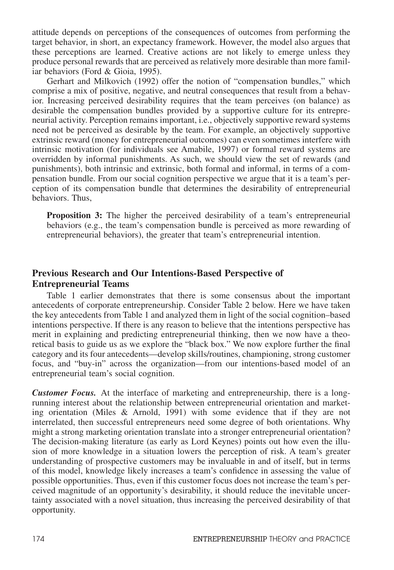attitude depends on perceptions of the consequences of outcomes from performing the target behavior, in short, an expectancy framework. However, the model also argues that these perceptions are learned. Creative actions are not likely to emerge unless they produce personal rewards that are perceived as relatively more desirable than more familiar behaviors (Ford & Gioia, 1995).

Gerhart and Milkovich (1992) offer the notion of "compensation bundles," which comprise a mix of positive, negative, and neutral consequences that result from a behavior. Increasing perceived desirability requires that the team perceives (on balance) as desirable the compensation bundles provided by a supportive culture for its entrepreneurial activity. Perception remains important, i.e., objectively supportive reward systems need not be perceived as desirable by the team. For example, an objectively supportive extrinsic reward (money for entrepreneurial outcomes) can even sometimes interfere with intrinsic motivation (for individuals see Amabile, 1997) or formal reward systems are overridden by informal punishments. As such, we should view the set of rewards (and punishments), both intrinsic and extrinsic, both formal and informal, in terms of a compensation bundle. From our social cognition perspective we argue that it is a team's perception of its compensation bundle that determines the desirability of entrepreneurial behaviors. Thus,

**Proposition 3:** The higher the perceived desirability of a team's entrepreneurial behaviors (e.g., the team's compensation bundle is perceived as more rewarding of entrepreneurial behaviors), the greater that team's entrepreneurial intention.

## **Previous Research and Our Intentions-Based Perspective of Entrepreneurial Teams**

Table 1 earlier demonstrates that there is some consensus about the important antecedents of corporate entrepreneurship. Consider Table 2 below. Here we have taken the key antecedents from Table 1 and analyzed them in light of the social cognition–based intentions perspective. If there is any reason to believe that the intentions perspective has merit in explaining and predicting entrepreneurial thinking, then we now have a theoretical basis to guide us as we explore the "black box." We now explore further the final category and its four antecedents—develop skills/routines, championing, strong customer focus, and "buy-in" across the organization—from our intentions-based model of an entrepreneurial team's social cognition.

*Customer Focus.* At the interface of marketing and entrepreneurship, there is a longrunning interest about the relationship between entrepreneurial orientation and marketing orientation (Miles & Arnold, 1991) with some evidence that if they are not interrelated, then successful entrepreneurs need some degree of both orientations. Why might a strong marketing orientation translate into a stronger entrepreneurial orientation? The decision-making literature (as early as Lord Keynes) points out how even the illusion of more knowledge in a situation lowers the perception of risk. A team's greater understanding of prospective customers may be invaluable in and of itself, but in terms of this model, knowledge likely increases a team's confidence in assessing the value of possible opportunities. Thus, even if this customer focus does not increase the team's perceived magnitude of an opportunity's desirability, it should reduce the inevitable uncertainty associated with a novel situation, thus increasing the perceived desirability of that opportunity.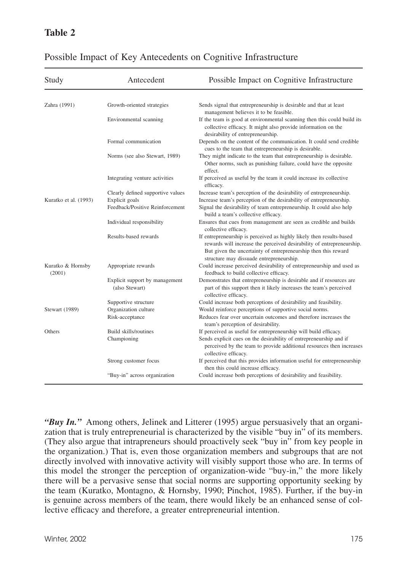# **Table 2**

| Study                       | Antecedent                                       | Possible Impact on Cognitive Infrastructure                                                                                                                                                                                                                 |
|-----------------------------|--------------------------------------------------|-------------------------------------------------------------------------------------------------------------------------------------------------------------------------------------------------------------------------------------------------------------|
| Zahra (1991)                | Growth-oriented strategies                       | Sends signal that entrepreneurship is desirable and that at least<br>management believes it to be feasible.                                                                                                                                                 |
|                             | Environmental scanning                           | If the team is good at environmental scanning then this could build its<br>collective efficacy. It might also provide information on the<br>desirability of entrepreneurship.                                                                               |
|                             | Formal communication                             | Depends on the content of the communication. It could send credible<br>cues to the team that entrepreneurship is desirable.                                                                                                                                 |
|                             | Norms (see also Stewart, 1989)                   | They might indicate to the team that entrepreneurship is desirable.<br>Other norms, such as punishing failure, could have the opposite<br>effect.                                                                                                           |
|                             | Integrating venture activities                   | If perceived as useful by the team it could increase its collective<br>efficacy.                                                                                                                                                                            |
|                             | Clearly defined supportive values                | Increase team's perception of the desirability of entrepreneurship.                                                                                                                                                                                         |
| Kuratko et al. (1993)       | Explicit goals                                   | Increase team's perception of the desirability of entrepreneurship.                                                                                                                                                                                         |
|                             | Feedback/Positive Reinforcement                  | Signal the desirability of team entrepreneurship. It could also help<br>build a team's collective efficacy.                                                                                                                                                 |
|                             | Individual responsibility                        | Ensures that cues from management are seen as credible and builds<br>collective efficacy.                                                                                                                                                                   |
|                             | Results-based rewards                            | If entrepreneurship is perceived as highly likely then results-based<br>rewards will increase the perceived desirability of entrepreneurship.<br>But given the uncertainty of entrepreneurship then this reward<br>structure may dissuade entrepreneurship. |
| Kuratko & Hornsby<br>(2001) | Appropriate rewards                              | Could increase perceived desirability of entrepreneurship and used as<br>feedback to build collective efficacy.                                                                                                                                             |
|                             | Explicit support by management<br>(also Stewart) | Demonstrates that entrepreneurship is desirable and if resources are<br>part of this support then it likely increases the team's perceived<br>collective efficacy.                                                                                          |
|                             | Supportive structure                             | Could increase both perceptions of desirability and feasibility.                                                                                                                                                                                            |
| Stewart (1989)              | Organization culture                             | Would reinforce perceptions of supportive social norms.                                                                                                                                                                                                     |
|                             | Risk-acceptance                                  | Reduces fear over uncertain outcomes and therefore increases the<br>team's perception of desirability.                                                                                                                                                      |
| Others                      | Build skills/routines<br>Championing             | If perceived as useful for entrepreneurship will build efficacy.<br>Sends explicit cues on the desirability of entrepreneurship and if<br>perceived by the team to provide additional resources then increases<br>collective efficacy.                      |
|                             | Strong customer focus                            | If perceived that this provides information useful for entrepreneurship<br>then this could increase efficacy.                                                                                                                                               |
|                             | "Buy-in" across organization                     | Could increase both perceptions of desirability and feasibility.                                                                                                                                                                                            |

# Possible Impact of Key Antecedents on Cognitive Infrastructure

*"Buy In."* Among others, Jelinek and Litterer (1995) argue persuasively that an organization that is truly entrepreneurial is characterized by the visible "buy in" of its members. (They also argue that intrapreneurs should proactively seek "buy in" from key people in the organization.) That is, even those organization members and subgroups that are not directly involved with innovative activity will visibly support those who are. In terms of this model the stronger the perception of organization-wide "buy-in," the more likely there will be a pervasive sense that social norms are supporting opportunity seeking by the team (Kuratko, Montagno, & Hornsby, 1990; Pinchot, 1985). Further, if the buy-in is genuine across members of the team, there would likely be an enhanced sense of collective efficacy and therefore, a greater entrepreneurial intention.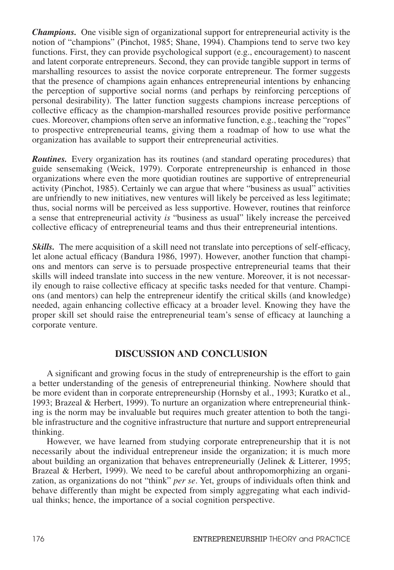*Champions.* One visible sign of organizational support for entrepreneurial activity is the notion of "champions" (Pinchot, 1985; Shane, 1994). Champions tend to serve two key functions. First, they can provide psychological support (e.g., encouragement) to nascent and latent corporate entrepreneurs. Second, they can provide tangible support in terms of marshalling resources to assist the novice corporate entrepreneur. The former suggests that the presence of champions again enhances entrepreneurial intentions by enhancing the perception of supportive social norms (and perhaps by reinforcing perceptions of personal desirability). The latter function suggests champions increase perceptions of collective efficacy as the champion-marshalled resources provide positive performance cues. Moreover, champions often serve an informative function, e.g., teaching the "ropes" to prospective entrepreneurial teams, giving them a roadmap of how to use what the organization has available to support their entrepreneurial activities.

*Routines.* Every organization has its routines (and standard operating procedures) that guide sensemaking (Weick, 1979). Corporate entrepreneurship is enhanced in those organizations where even the more quotidian routines are supportive of entrepreneurial activity (Pinchot, 1985). Certainly we can argue that where "business as usual" activities are unfriendly to new initiatives, new ventures will likely be perceived as less legitimate; thus, social norms will be perceived as less supportive. However, routines that reinforce a sense that entrepreneurial activity *is* "business as usual" likely increase the perceived collective efficacy of entrepreneurial teams and thus their entrepreneurial intentions.

*Skills.* The mere acquisition of a skill need not translate into perceptions of self-efficacy, let alone actual efficacy (Bandura 1986, 1997). However, another function that champions and mentors can serve is to persuade prospective entrepreneurial teams that their skills will indeed translate into success in the new venture. Moreover, it is not necessarily enough to raise collective efficacy at specific tasks needed for that venture. Champions (and mentors) can help the entrepreneur identify the critical skills (and knowledge) needed, again enhancing collective efficacy at a broader level. Knowing they have the proper skill set should raise the entrepreneurial team's sense of efficacy at launching a corporate venture.

## **DISCUSSION AND CONCLUSION**

A significant and growing focus in the study of entrepreneurship is the effort to gain a better understanding of the genesis of entrepreneurial thinking. Nowhere should that be more evident than in corporate entrepreneurship (Hornsby et al., 1993; Kuratko et al., 1993; Brazeal & Herbert, 1999). To nurture an organization where entrepreneurial thinking is the norm may be invaluable but requires much greater attention to both the tangible infrastructure and the cognitive infrastructure that nurture and support entrepreneurial thinking.

However, we have learned from studying corporate entrepreneurship that it is not necessarily about the individual entrepreneur inside the organization; it is much more about building an organization that behaves entrepreneurially (Jelinek & Litterer, 1995; Brazeal & Herbert, 1999). We need to be careful about anthropomorphizing an organization, as organizations do not "think" *per se*. Yet, groups of individuals often think and behave differently than might be expected from simply aggregating what each individual thinks; hence, the importance of a social cognition perspective.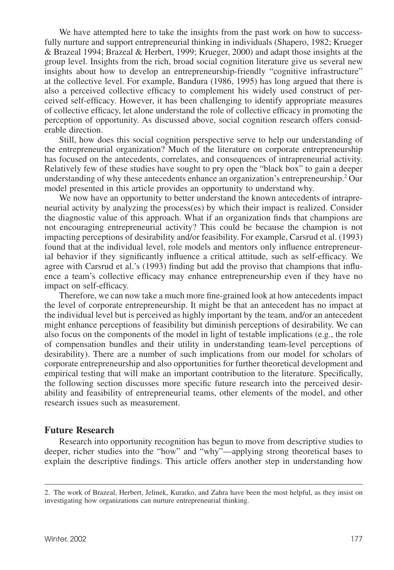We have attempted here to take the insights from the past work on how to successfully nurture and support entrepreneurial thinking in individuals (Shapero, 1982; Krueger & Brazeal 1994; Brazeal & Herbert, 1999; Krueger, 2000) and adapt those insights at the group level. Insights from the rich, broad social cognition literature give us several new insights about how to develop an entrepreneurship-friendly "cognitive infrastructure" at the collective level. For example, Bandura (1986, 1995) has long argued that there is also a perceived collective efficacy to complement his widely used construct of perceived self-efficacy. However, it has been challenging to identify appropriate measures of collective efficacy, let alone understand the role of collective efficacy in promoting the perception of opportunity. As discussed above, social cognition research offers considerable direction.

Still, how does this social cognition perspective serve to help our understanding of the entrepreneurial organization? Much of the literature on corporate entrepreneurship has focused on the antecedents, correlates, and consequences of intrapreneurial activity. Relatively few of these studies have sought to pry open the "black box" to gain a deeper understanding of why these antecedents enhance an organization's entrepreneurship.<sup>2</sup> Our model presented in this article provides an opportunity to understand why.

We now have an opportunity to better understand the known antecedents of intrapreneurial activity by analyzing the process(es) by which their impact is realized. Consider the diagnostic value of this approach. What if an organization finds that champions are not encouraging entrepreneurial activity? This could be because the champion is not impacting perceptions of desirability and/or feasibility. For example, Carsrud et al. (1993) found that at the individual level, role models and mentors only influence entrepreneurial behavior if they significantly influence a critical attitude, such as self-efficacy. We agree with Carsrud et al.'s (1993) finding but add the proviso that champions that influence a team's collective efficacy may enhance entrepreneurship even if they have no impact on self-efficacy.

Therefore, we can now take a much more fine-grained look at how antecedents impact the level of corporate entrepreneurship. It might be that an antecedent has no impact at the individual level but is perceived as highly important by the team, and/or an antecedent might enhance perceptions of feasibility but diminish perceptions of desirability. We can also focus on the components of the model in light of testable implications (e.g., the role of compensation bundles and their utility in understanding team-level perceptions of desirability). There are a number of such implications from our model for scholars of corporate entrepreneurship and also opportunities for further theoretical development and empirical testing that will make an important contribution to the literature. Specifically, the following section discusses more specific future research into the perceived desirability and feasibility of entrepreneurial teams, other elements of the model, and other research issues such as measurement.

#### **Future Research**

Research into opportunity recognition has begun to move from descriptive studies to deeper, richer studies into the "how" and "why"—applying strong theoretical bases to explain the descriptive findings. This article offers another step in understanding how

<sup>2.</sup> The work of Brazeal, Herbert, Jelinek, Kuratko, and Zahra have been the most helpful, as they insist on investigating how organizations can nurture entrepreneurial thinking.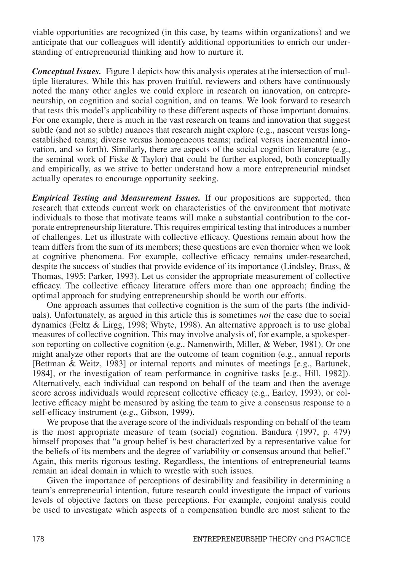viable opportunities are recognized (in this case, by teams within organizations) and we anticipate that our colleagues will identify additional opportunities to enrich our understanding of entrepreneurial thinking and how to nurture it.

*Conceptual Issues.* Figure 1 depicts how this analysis operates at the intersection of multiple literatures. While this has proven fruitful, reviewers and others have continuously noted the many other angles we could explore in research on innovation, on entrepreneurship, on cognition and social cognition, and on teams. We look forward to research that tests this model's applicability to these different aspects of those important domains. For one example, there is much in the vast research on teams and innovation that suggest subtle (and not so subtle) nuances that research might explore (e.g., nascent versus longestablished teams; diverse versus homogeneous teams; radical versus incremental innovation, and so forth). Similarly, there are aspects of the social cognition literature (e.g., the seminal work of Fiske & Taylor) that could be further explored, both conceptually and empirically, as we strive to better understand how a more entrepreneurial mindset actually operates to encourage opportunity seeking.

*Empirical Testing and Measurement Issues.* If our propositions are supported, then research that extends current work on characteristics of the environment that motivate individuals to those that motivate teams will make a substantial contribution to the corporate entrepreneurship literature. This requires empirical testing that introduces a number of challenges. Let us illustrate with collective efficacy. Questions remain about how the team differs from the sum of its members; these questions are even thornier when we look at cognitive phenomena. For example, collective efficacy remains under-researched, despite the success of studies that provide evidence of its importance (Lindsley, Brass, & Thomas, 1995; Parker, 1993). Let us consider the appropriate measurement of collective efficacy. The collective efficacy literature offers more than one approach; finding the optimal approach for studying entrepreneurship should be worth our efforts.

One approach assumes that collective cognition is the sum of the parts (the individuals). Unfortunately, as argued in this article this is sometimes *not* the case due to social dynamics (Feltz & Lirgg, 1998; Whyte, 1998). An alternative approach is to use global measures of collective cognition. This may involve analysis of, for example, a spokesperson reporting on collective cognition (e.g., Namenwirth, Miller, & Weber, 1981). Or one might analyze other reports that are the outcome of team cognition (e.g., annual reports [Bettman & Weitz, 1983] or internal reports and minutes of meetings [e.g., Bartunek, 1984], or the investigation of team performance in cognitive tasks [e.g., Hill, 1982]). Alternatively, each individual can respond on behalf of the team and then the average score across individuals would represent collective efficacy (e.g., Earley, 1993), or collective efficacy might be measured by asking the team to give a consensus response to a self-efficacy instrument (e.g., Gibson, 1999).

We propose that the average score of the individuals responding on behalf of the team is the most appropriate measure of team (social) cognition. Bandura (1997, p. 479) himself proposes that "a group belief is best characterized by a representative value for the beliefs of its members and the degree of variability or consensus around that belief." Again, this merits rigorous testing. Regardless, the intentions of entrepreneurial teams remain an ideal domain in which to wrestle with such issues.

Given the importance of perceptions of desirability and feasibility in determining a team's entrepreneurial intention, future research could investigate the impact of various levels of objective factors on these perceptions. For example, conjoint analysis could be used to investigate which aspects of a compensation bundle are most salient to the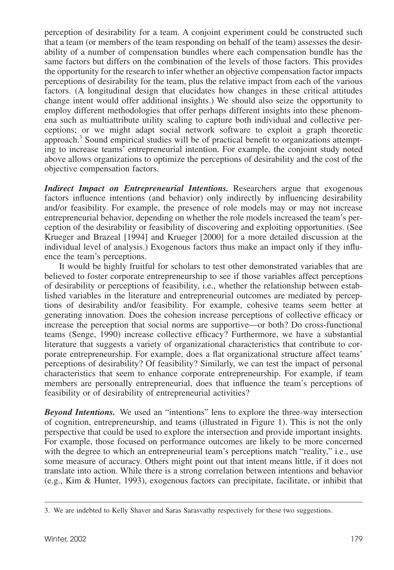perception of desirability for a team. A conjoint experiment could be constructed such that a team (or members of the team responding on behalf of the team) assesses the desirability of a number of compensation bundles where each compensation bundle has the same factors but differs on the combination of the levels of those factors. This provides the opportunity for the research to infer whether an objective compensation factor impacts perceptions of desirability for the team, plus the relative impact from each of the various factors. (A longitudinal design that elucidates how changes in these critical attitudes change intent would offer additional insights.) We should also seize the opportunity to employ different methodologies that offer perhaps different insights into these phenomena such as multiattribute utility scaling to capture both individual and collective perceptions; or we might adapt social network software to exploit a graph theoretic approach.<sup>3</sup> Sound empirical studies will be of practical benefit to organizations attempting to increase teams' entrepreneurial intention. For example, the conjoint study noted above allows organizations to optimize the perceptions of desirability and the cost of the objective compensation factors.

*Indirect Impact on Entrepreneurial Intentions.* Researchers argue that exogenous factors influence intentions (and behavior) only indirectly by influencing desirability and/or feasibility. For example, the presence of role models may or may not increase entrepreneurial behavior, depending on whether the role models increased the team's perception of the desirability or feasibility of discovering and exploiting opportunities. (See Krueger and Brazeal [1994] and Krueger [2000] for a more detailed discussion at the individual level of analysis.) Exogenous factors thus make an impact only if they influence the team's perceptions.

It would be highly fruitful for scholars to test other demonstrated variables that are believed to foster corporate entrepreneurship to see if those variables affect perceptions of desirability or perceptions of feasibility, i.e., whether the relationship between established variables in the literature and entrepreneurial outcomes are mediated by perceptions of desirability and/or feasibility. For example, cohesive teams seem better at generating innovation. Does the cohesion increase perceptions of collective efficacy or increase the perception that social norms are supportive—or both? Do cross-functional teams (Senge, 1990) increase collective efficacy? Furthermore, we have a substantial literature that suggests a variety of organizational characteristics that contribute to corporate entrepreneurship. For example, does a flat organizational structure affect teams' perceptions of desirability? Of feasibility? Similarly, we can test the impact of personal characteristics that seem to enhance corporate entrepreneurship. For example, if team members are personally entrepreneurial, does that influence the team's perceptions of feasibility or of desirability of entrepreneurial activities?

*Beyond Intentions.* We used an "intentions" lens to explore the three-way intersection of cognition, entrepreneurship, and teams (illustrated in Figure 1). This is not the only perspective that could be used to explore the intersection and provide important insights. For example, those focused on performance outcomes are likely to be more concerned with the degree to which an entrepreneurial team's perceptions match "reality," i.e., use some measure of accuracy. Others might point out that intent means little, if it does not translate into action. While there is a strong correlation between intentions and behavior (e.g., Kim & Hunter, 1993), exogenous factors can precipitate, facilitate, or inhibit that

<sup>3.</sup> We are indebted to Kelly Shaver and Saras Sarasvathy respectively for these two suggestions.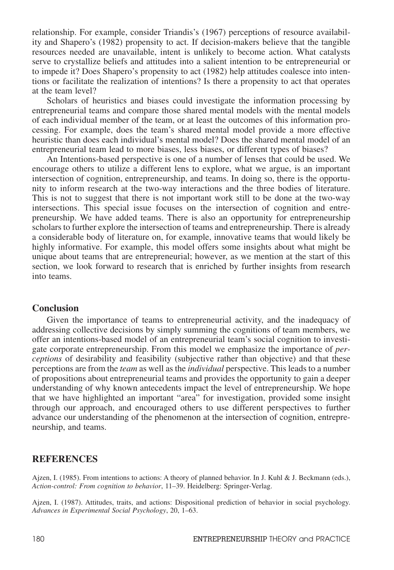relationship. For example, consider Triandis's (1967) perceptions of resource availability and Shapero's (1982) propensity to act. If decision-makers believe that the tangible resources needed are unavailable, intent is unlikely to become action. What catalysts serve to crystallize beliefs and attitudes into a salient intention to be entrepreneurial or to impede it? Does Shapero's propensity to act (1982) help attitudes coalesce into intentions or facilitate the realization of intentions? Is there a propensity to act that operates at the team level?

Scholars of heuristics and biases could investigate the information processing by entrepreneurial teams and compare those shared mental models with the mental models of each individual member of the team, or at least the outcomes of this information processing. For example, does the team's shared mental model provide a more effective heuristic than does each individual's mental model? Does the shared mental model of an entrepreneurial team lead to more biases, less biases, or different types of biases?

An Intentions-based perspective is one of a number of lenses that could be used. We encourage others to utilize a different lens to explore, what we argue, is an important intersection of cognition, entrepreneurship, and teams. In doing so, there is the opportunity to inform research at the two-way interactions and the three bodies of literature. This is not to suggest that there is not important work still to be done at the two-way intersections. This special issue focuses on the intersection of cognition and entrepreneurship. We have added teams. There is also an opportunity for entrepreneurship scholars to further explore the intersection of teams and entrepreneurship. There is already a considerable body of literature on, for example, innovative teams that would likely be highly informative. For example, this model offers some insights about what might be unique about teams that are entrepreneurial; however, as we mention at the start of this section, we look forward to research that is enriched by further insights from research into teams.

#### **Conclusion**

Given the importance of teams to entrepreneurial activity, and the inadequacy of addressing collective decisions by simply summing the cognitions of team members, we offer an intentions-based model of an entrepreneurial team's social cognition to investigate corporate entrepreneurship. From this model we emphasize the importance of *perceptions* of desirability and feasibility (subjective rather than objective) and that these perceptions are from the *team* as well as the *individual* perspective. This leads to a number of propositions about entrepreneurial teams and provides the opportunity to gain a deeper understanding of why known antecedents impact the level of entrepreneurship. We hope that we have highlighted an important "area" for investigation, provided some insight through our approach, and encouraged others to use different perspectives to further advance our understanding of the phenomenon at the intersection of cognition, entrepreneurship, and teams.

#### **REFERENCES**

Ajzen, I. (1985). From intentions to actions: A theory of planned behavior. In J. Kuhl & J. Beckmann (eds.), *Action-control: From cognition to behavior*, 11–39. Heidelberg: Springer-Verlag.

Ajzen, I. (1987). Attitudes, traits, and actions: Dispositional prediction of behavior in social psychology. *Advances in Experimental Social Psychology*, 20, 1–63.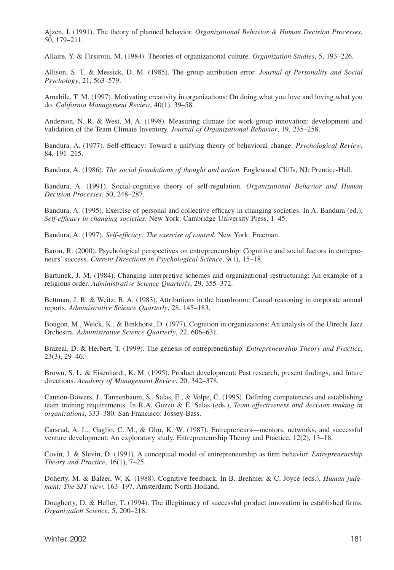Ajzen, I. (1991). The theory of planned behavior. *Organizational Behavior & Human Decision Processes*, 50, 179–211.

Allaire, Y. & Firsirotu, M. (1984). Theories of organizational culture. *Organization Studies*, 5, 193–226.

Allison, S. T. & Messick, D. M. (1985). The group attribution error. *Journal of Personality and Social Psychology*, 21, 563–579.

Amabile, T. M. (1997). Motivating creativity in organizations: On doing what you love and loving what you do. *California Management Review*, 40(1), 39–58.

Anderson, N. R. & West, M. A. (1998). Measuring climate for work-group innovation: development and validation of the Team Climate Inventory. *Journal of Organizational Behavior*, 19, 235–258.

Bandura, A. (1977). Self-efficacy: Toward a unifying theory of behavioral change. *Psychological Review*, 84, 191–215.

Bandura, A. (1986). *The social foundations of thought and action.* Englewood Cliffs, NJ: Prentice-Hall.

Bandura, A. (1991). Social-cognitive theory of self-regulation. *Organizational Behavior and Human Decision Processes*, 50, 248–287.

Bandura, A. (1995). Exercise of personal and collective efficacy in changing societies. In A. Bandura (ed.), *Self-efficacy in changing societies*. New York: Cambridge University Press, 1–45.

Bandura, A. (1997). *Self-efficacy: The exercise of control*. New York: Freeman.

Baron, R. (2000). Psychological perspectives on entrepreneurship: Cognitive and social factors in entrepreneurs' success. *Current Directions in Psychological Science*, 9(1), 15–18.

Bartunek, J. M. (1984). Changing interpretive schemes and organizational restructuring: An example of a religious order. *Administrative Science Quarterly*, 29, 355–372.

Bettman, J. R. & Weitz, B. A. (1983). Attributions in the boardroom: Causal reasoning in corporate annual reports. *Administrative Science Quarterly*, 28, 145–183.

Bougon, M., Weick, K., & Binkhorst, D. (1977). Cognition in organizations: An analysis of the Utrecht Jazz Orchestra. *Administrative Science Quarterly*, 22, 606–631.

Brazeal, D. & Herbert, T. (1999). The genesis of entrepreneurship. *Entrepreneurship Theory and Practice*, 23(3), 29–46.

Brown, S. L. & Eisenhardt, K. M. (1995). Product development: Past research, present findings, and future directions. *Academy of Management Review*, 20, 342–378.

Cannon-Bowers, J., Tannenbaum, S., Salas, E., & Volpe, C. (1995). Defining competencies and establishing team training requirements. In R.A. Guzzo & E. Salas (eds.), *Team effectiveness and decision making in organizations*, 333–380. San Francisco: Jossey-Bass.

Carsrud, A. L., Gaglio, C. M., & Olm, K. W. (1987). Entrepreneurs—mentors, networks, and successful venture development: An exploratory study. Entrepreneurship Theory and Practice, 12(2), 13–18.

Covin, J. & Slevin, D. (1991). A conceptual model of entrepreneurship as firm behavior. *Entrepreneurship Theory and Practice*, 16(1), 7–25.

Doherty, M. & Balzer, W. K. (1988). Cognitive feedback. In B. Brehmer & C. Joyce (eds.), *Human judgment: The SJT view*, 163–197. Amsterdam: North-Holland.

Dougherty, D. & Heller, T. (1994). The illegitimacy of successful product innovation in established firms. *Organization Science*, 5, 200–218.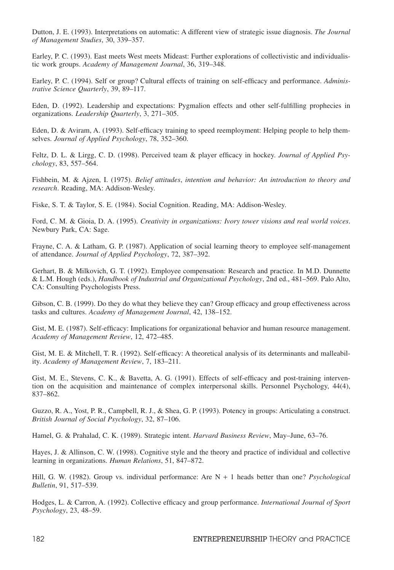Dutton, J. E. (1993). Interpretations on automatic: A different view of strategic issue diagnosis. *The Journal of Management Studies*, 30, 339–357.

Earley, P. C. (1993). East meets West meets Mideast: Further explorations of collectivistic and individualistic work groups. *Academy of Management Journal*, 36, 319–348.

Earley, P. C. (1994). Self or group? Cultural effects of training on self-efficacy and performance. *Administrative Science Quarterly*, 39, 89–117.

Eden, D. (1992). Leadership and expectations: Pygmalion effects and other self-fulfilling prophecies in organizations. *Leadership Quarterly*, 3, 271–305.

Eden, D. & Aviram, A. (1993). Self-efficacy training to speed reemployment: Helping people to help themselves. *Journal of Applied Psychology*, 78, 352–360.

Feltz, D. L. & Lirgg, C. D. (1998). Perceived team & player efficacy in hockey. *Journal of Applied Psychology*, 83, 557–564.

Fishbein, M. & Ajzen, I. (1975). *Belief attitudes*, *intention and behavior: An introduction to theory and research*. Reading, MA: Addison-Wesley.

Fiske, S. T. & Taylor, S. E. (1984). Social Cognition. Reading, MA: Addison-Wesley.

Ford, C. M. & Gioia, D. A. (1995). *Creativity in organizations: Ivory tower visions and real world voices*. Newbury Park, CA: Sage.

Frayne, C. A. & Latham, G. P. (1987). Application of social learning theory to employee self-management of attendance. *Journal of Applied Psychology*, 72, 387–392.

Gerhart, B. & Milkovich, G. T. (1992). Employee compensation: Research and practice. In M.D. Dunnette & L.M. Hough (eds.), *Handbook of Industrial and Organizational Psychology*, 2nd ed., 481–569. Palo Alto, CA: Consulting Psychologists Press.

Gibson, C. B. (1999). Do they do what they believe they can? Group efficacy and group effectiveness across tasks and cultures. *Academy of Management Journal*, 42, 138–152.

Gist, M. E. (1987). Self-efficacy: Implications for organizational behavior and human resource management. *Academy of Management Review*, 12, 472–485.

Gist, M. E. & Mitchell, T. R. (1992). Self-efficacy: A theoretical analysis of its determinants and malleability. *Academy of Management Review*, 7, 183–211.

Gist, M. E., Stevens, C. K., & Bavetta, A. G. (1991). Effects of self-efficacy and post-training intervention on the acquisition and maintenance of complex interpersonal skills. Personnel Psychology, 44(4), 837–862.

Guzzo, R. A., Yost, P. R., Campbell, R. J., & Shea, G. P. (1993). Potency in groups: Articulating a construct. *British Journal of Social Psychology*, 32, 87–106.

Hamel, G. & Prahalad, C. K. (1989). Strategic intent. *Harvard Business Review*, May–June, 63–76.

Hayes, J. & Allinson, C. W. (1998). Cognitive style and the theory and practice of individual and collective learning in organizations. *Human Relations*, 51, 847–872.

Hill, G. W. (1982). Group vs. individual performance: Are N + 1 heads better than one? *Psychological Bulletin*, 91, 517–539.

Hodges, L. & Carron, A. (1992). Collective efficacy and group performance. *International Journal of Sport Psychology*, 23, 48–59.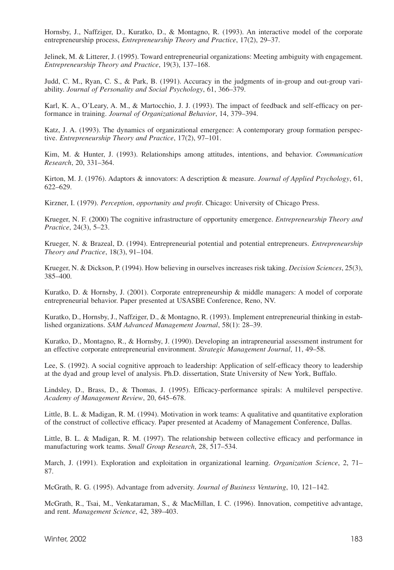Hornsby, J., Naffziger, D., Kuratko, D., & Montagno, R. (1993). An interactive model of the corporate entrepreneurship process, *Entrepreneurship Theory and Practice*, 17(2), 29–37.

Jelinek, M. & Litterer, J. (1995). Toward entrepreneurial organizations: Meeting ambiguity with engagement. *Entrepreneurship Theory and Practice*, 19(3), 137–168.

Judd, C. M., Ryan, C. S., & Park, B. (1991). Accuracy in the judgments of in-group and out-group variability. *Journal of Personality and Social Psychology*, 61, 366–379.

Karl, K. A., O'Leary, A. M., & Martocchio, J. J. (1993). The impact of feedback and self-efficacy on performance in training. *Journal of Organizational Behavior*, 14, 379–394.

Katz, J. A. (1993). The dynamics of organizational emergence: A contemporary group formation perspective. *Entrepreneurship Theory and Practice*, 17(2), 97–101.

Kim, M. & Hunter, J. (1993). Relationships among attitudes, intentions, and behavior. *Communication Research*, 20, 331–364.

Kirton, M. J. (1976). Adaptors & innovators: A description & measure. *Journal of Applied Psychology*, 61, 622–629.

Kirzner, I. (1979). *Perception*, *opportunity and profit*. Chicago: University of Chicago Press.

Krueger, N. F. (2000) The cognitive infrastructure of opportunity emergence. *Entrepreneurship Theory and Practice*, 24(3), 5–23.

Krueger, N. & Brazeal, D. (1994). Entrepreneurial potential and potential entrepreneurs. *Entrepreneurship Theory and Practice*, 18(3), 91–104.

Krueger, N. & Dickson, P. (1994). How believing in ourselves increases risk taking. *Decision Sciences*, 25(3), 385–400.

Kuratko, D. & Hornsby, J. (2001). Corporate entrepreneurship & middle managers: A model of corporate entrepreneurial behavior. Paper presented at USASBE Conference, Reno, NV.

Kuratko, D., Hornsby, J., Naffziger, D., & Montagno, R. (1993). Implement entrepreneurial thinking in established organizations. *SAM Advanced Management Journal*, 58(1): 28–39.

Kuratko, D., Montagno, R., & Hornsby, J. (1990). Developing an intrapreneurial assessment instrument for an effective corporate entrepreneurial environment. *Strategic Management Journal*, 11, 49–58.

Lee, S. (1992). A social cognitive approach to leadership: Application of self-efficacy theory to leadership at the dyad and group level of analysis. Ph.D. dissertation, State University of New York, Buffalo.

Lindsley, D., Brass, D., & Thomas, J. (1995). Efficacy-performance spirals: A multilevel perspective. *Academy of Management Review*, 20, 645–678.

Little, B. L. & Madigan, R. M. (1994). Motivation in work teams: A qualitative and quantitative exploration of the construct of collective efficacy. Paper presented at Academy of Management Conference, Dallas.

Little, B. L. & Madigan, R. M. (1997). The relationship between collective efficacy and performance in manufacturing work teams. *Small Group Research*, 28, 517–534.

March, J. (1991). Exploration and exploitation in organizational learning. *Organization Science*, 2, 71– 87.

McGrath, R. G. (1995). Advantage from adversity. *Journal of Business Venturing*, 10, 121–142.

McGrath, R., Tsai, M., Venkataraman, S., & MacMillan, I. C. (1996). Innovation, competitive advantage, and rent. *Management Science*, 42, 389–403.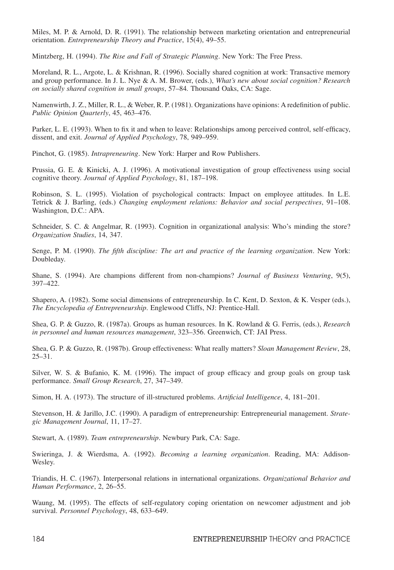Miles, M. P. & Arnold, D. R. (1991). The relationship between marketing orientation and entrepreneurial orientation. *Entrepreneurship Theory and Practice*, 15(4), 49–55.

Mintzberg, H. (1994). *The Rise and Fall of Strategic Planning*. New York: The Free Press.

Moreland, R. L., Argote, L. & Krishnan, R. (1996). Socially shared cognition at work: Transactive memory and group performance. In J. L. Nye & A. M. Brower, (eds.), *What's new about social cognition? Research on socially shared cognition in small groups*, 57–84*.* Thousand Oaks, CA: Sage.

Namenwirth, J. Z., Miller, R. L., & Weber, R. P. (1981). Organizations have opinions: A redefinition of public. *Public Opinion Quarterly*, 45, 463–476.

Parker, L. E. (1993). When to fix it and when to leave: Relationships among perceived control, self-efficacy, dissent, and exit. *Journal of Applied Psychology*, 78, 949–959.

Pinchot, G. (1985). *Intrapreneuring*. New York: Harper and Row Publishers.

Prussia, G. E. & Kinicki, A. J. (1996). A motivational investigation of group effectiveness using social cognitive theory. *Journal of Applied Psychology*, 81, 187–198.

Robinson, S. L. (1995). Violation of psychological contracts: Impact on employee attitudes. In L.E. Tetrick & J. Barling, (eds.) *Changing employment relations: Behavior and social perspectives*, 91–108. Washington, D.C.: APA.

Schneider, S. C. & Angelmar, R. (1993). Cognition in organizational analysis: Who's minding the store? *Organization Studies*, 14, 347.

Senge, P. M. (1990). *The fifth discipline: The art and practice of the learning organization*. New York: Doubleday.

Shane, S. (1994). Are champions different from non-champions? *Journal of Business Venturing*, 9(5), 397–422.

Shapero, A. (1982). Some social dimensions of entrepreneurship. In C. Kent, D. Sexton, & K. Vesper (eds.), *The Encyclopedia of Entrepreneurship*. Englewood Cliffs, NJ: Prentice-Hall.

Shea, G. P. & Guzzo, R. (1987a). Groups as human resources. In K. Rowland & G. Ferris, (eds.), *Research in personnel and human resources management*, 323–356. Greenwich, CT: JAI Press.

Shea, G. P. & Guzzo, R. (1987b). Group effectiveness: What really matters? *Sloan Management Review*, 28, 25–31.

Silver, W. S. & Bufanio, K. M. (1996). The impact of group efficacy and group goals on group task performance. *Small Group Research*, 27, 347–349.

Simon, H. A. (1973). The structure of ill-structured problems. *Artificial Intelligence*, 4, 181–201.

Stevenson, H. & Jarillo, J.C. (1990). A paradigm of entrepreneurship: Entrepreneurial management. *Strategic Management Journal*, 11, 17–27.

Stewart, A. (1989). *Team entrepreneurship*. Newbury Park, CA: Sage.

Swieringa, J. & Wierdsma, A. (1992). *Becoming a learning organization*. Reading, MA: Addison-Wesley.

Triandis, H. C. (1967). Interpersonal relations in international organizations. *Organizational Behavior and Human Performance*, 2, 26–55.

Waung, M. (1995). The effects of self-regulatory coping orientation on newcomer adjustment and job survival. *Personnel Psychology*, 48, 633–649.